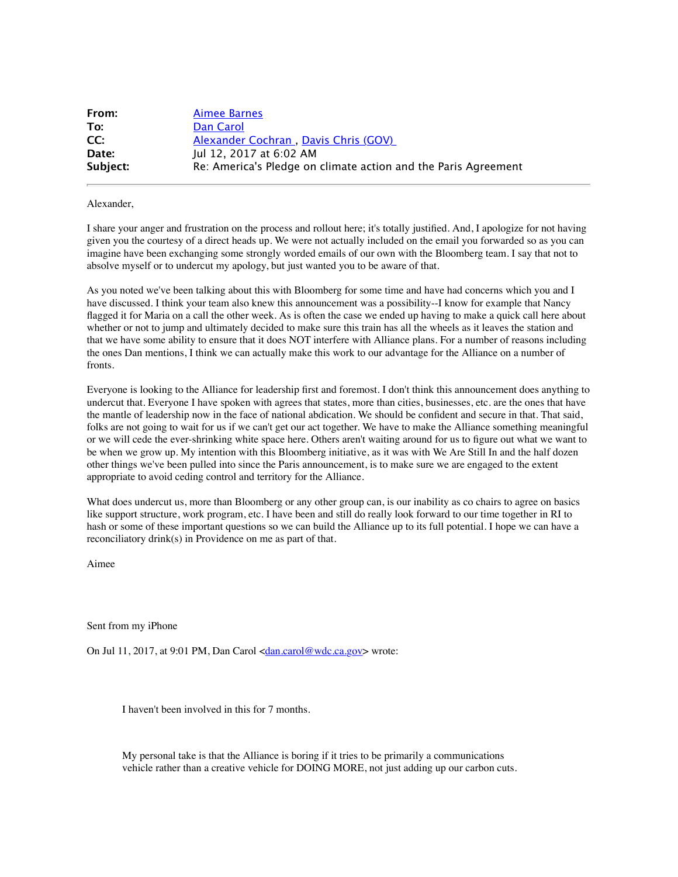| From:    | <b>Aimee Barnes</b>                                            |
|----------|----------------------------------------------------------------|
| To:      | Dan Carol                                                      |
| CC:      | Alexander Cochran, Davis Chris (GOV)                           |
| Date:    | Jul 12, 2017 at 6:02 AM                                        |
| Subject: | Re: America's Pledge on climate action and the Paris Agreement |

Alexander,

I share your anger and frustration on the process and rollout here; it's totally justified. And, I apologize for not having given you the courtesy of a direct heads up. We were not actually included on the email you forwarded so as you can imagine have been exchanging some strongly worded emails of our own with the Bloomberg team. I say that not to absolve myself or to undercut my apology, but just wanted you to be aware of that.

As you noted we've been talking about this with Bloomberg for some time and have had concerns which you and I have discussed. I think your team also knew this announcement was a possibility--I know for example that Nancy flagged it for Maria on a call the other week. As is often the case we ended up having to make a quick call here about whether or not to jump and ultimately decided to make sure this train has all the wheels as it leaves the station and that we have some ability to ensure that it does NOT interfere with Alliance plans. For a number of reasons including the ones Dan mentions, I think we can actually make this work to our advantage for the Alliance on a number of fronts.

Everyone is looking to the Alliance for leadership first and foremost. I don't think this announcement does anything to undercut that. Everyone I have spoken with agrees that states, more than cities, businesses, etc. are the ones that have the mantle of leadership now in the face of national abdication. We should be confident and secure in that. That said, folks are not going to wait for us if we can't get our act together. We have to make the Alliance something meaningful or we will cede the ever-shrinking white space here. Others aren't waiting around for us to figure out what we want to be when we grow up. My intention with this Bloomberg initiative, as it was with We Are Still In and the half dozen other things we've been pulled into since the Paris announcement, is to make sure we are engaged to the extent appropriate to avoid ceding control and territory for the Alliance.

What does undercut us, more than Bloomberg or any other group can, is our inability as co chairs to agree on basics like support structure, work program, etc. I have been and still do really look forward to our time together in RI to hash or some of these important questions so we can build the Alliance up to its full potential. I hope we can have a reconciliatory drink(s) in Providence on me as part of that.

Aimee

Sent from my iPhone

On Jul 11, 2017, at 9:01 PM, Dan Carol  $\langle \frac{dan.carol@wdc.ca.gov\rangle}{can}$  wrote:

I haven't been involved in this for 7 months.

My personal take is that the Alliance is boring if it tries to be primarily a communications vehicle rather than a creative vehicle for DOING MORE, not just adding up our carbon cuts.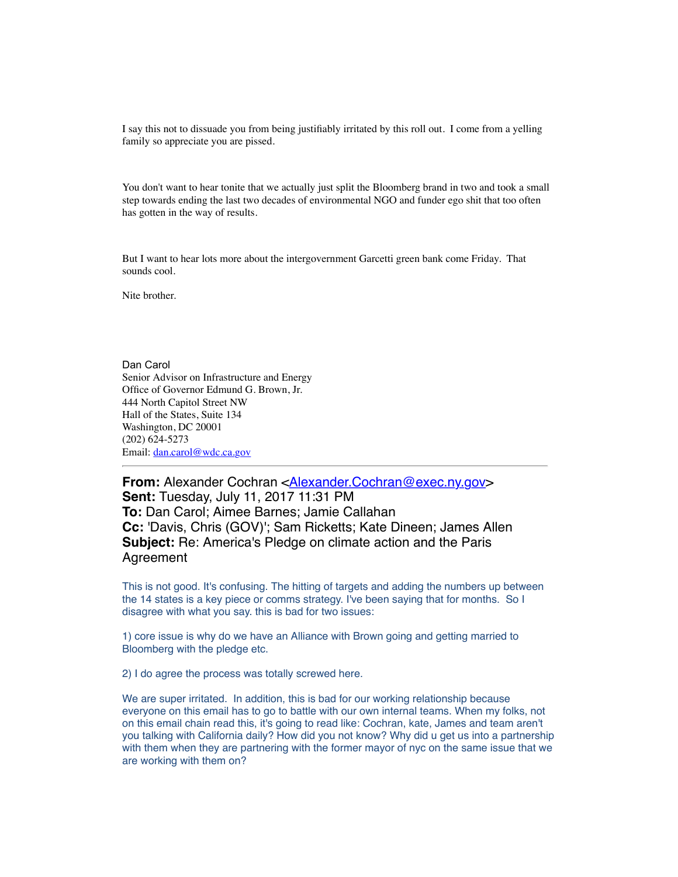I say this not to dissuade you from being justifiably irritated by this roll out. I come from a yelling family so appreciate you are pissed.

You don't want to hear tonite that we actually just split the Bloomberg brand in two and took a small step towards ending the last two decades of environmental NGO and funder ego shit that too often has gotten in the way of results.

But I want to hear lots more about the intergovernment Garcetti green bank come Friday. That sounds cool.

Nite brother.

Dan Carol Senior Advisor on Infrastructure and Energy Office of Governor Edmund G. Brown, Jr. 444 North Capitol Street NW Hall of the States, Suite 134 Washington, DC 20001 (202) 624-5273 Email: [dan.carol@wdc.ca.gov](mailto:dan.carol@wdc.ca.gov)

From: Alexander Cochran [<Alexander.Cochran@exec.ny.gov>](mailto:Alexander.Cochran@exec.ny.gov) **Sent:** Tuesday, July 11, 2017 11:31 PM **To:** Dan Carol; Aimee Barnes; Jamie Callahan **Cc:** 'Davis, Chris (GOV)'; Sam Ricketts; Kate Dineen; James Allen **Subject:** Re: America's Pledge on climate action and the Paris Agreement

This is not good. It's confusing. The hitting of targets and adding the numbers up between the 14 states is a key piece or comms strategy. I've been saying that for months. So I disagree with what you say. this is bad for two issues:

1) core issue is why do we have an Alliance with Brown going and getting married to Bloomberg with the pledge etc.

2) I do agree the process was totally screwed here.

We are super irritated. In addition, this is bad for our working relationship because everyone on this email has to go to battle with our own internal teams. When my folks, not on this email chain read this, it's going to read like: Cochran, kate, James and team aren't you talking with California daily? How did you not know? Why did u get us into a partnership with them when they are partnering with the former mayor of nyc on the same issue that we are working with them on?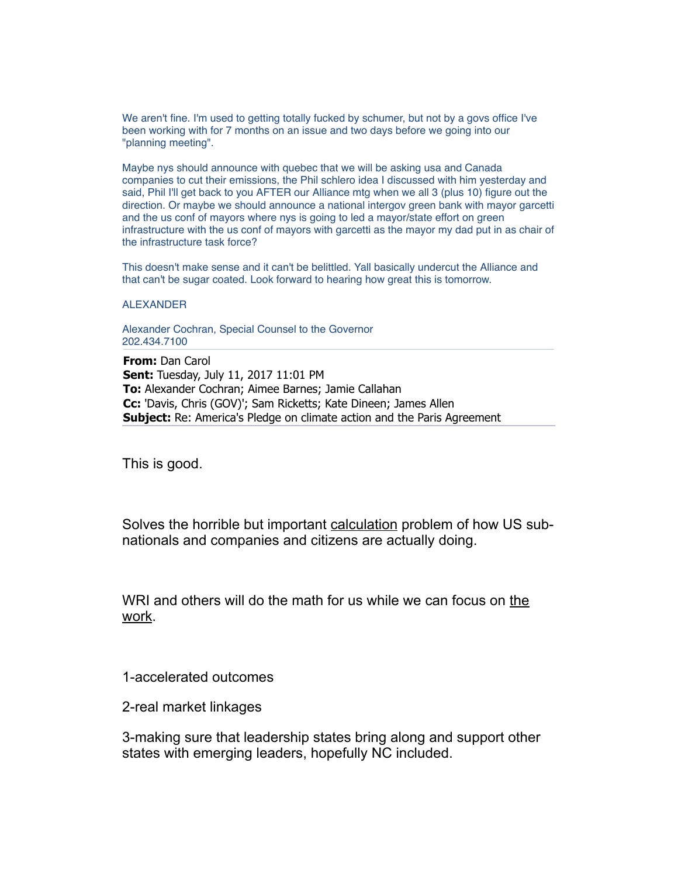We aren't fine. I'm used to getting totally fucked by schumer, but not by a govs office I've been working with for 7 months on an issue and two days before we going into our "planning meeting".

Maybe nys should announce with quebec that we will be asking usa and Canada companies to cut their emissions, the Phil schlero idea I discussed with him yesterday and said, Phil I'll get back to you AFTER our Alliance mtg when we all 3 (plus 10) figure out the direction. Or maybe we should announce a national intergov green bank with mayor garcetti and the us conf of mayors where nys is going to led a mayor/state effort on green infrastructure with the us conf of mayors with garcetti as the mayor my dad put in as chair of the infrastructure task force?

This doesn't make sense and it can't be belittled. Yall basically undercut the Alliance and that can't be sugar coated. Look forward to hearing how great this is tomorrow.

ALEXANDER

Alexander Cochran, Special Counsel to the Governor 202.434.7100

**From:** Dan Carol **Sent:** Tuesday, July 11, 2017 11:01 PM **To:** Alexander Cochran; Aimee Barnes; Jamie Callahan **Cc:** 'Davis, Chris (GOV)'; Sam Ricketts; Kate Dineen; James Allen **Subject:** Re: America's Pledge on climate action and the Paris Agreement

This is good.

Solves the horrible but important calculation problem of how US subnationals and companies and citizens are actually doing.

WRI and others will do the math for us while we can focus on the work.

1-accelerated outcomes

2-real market linkages

3-making sure that leadership states bring along and support other states with emerging leaders, hopefully NC included.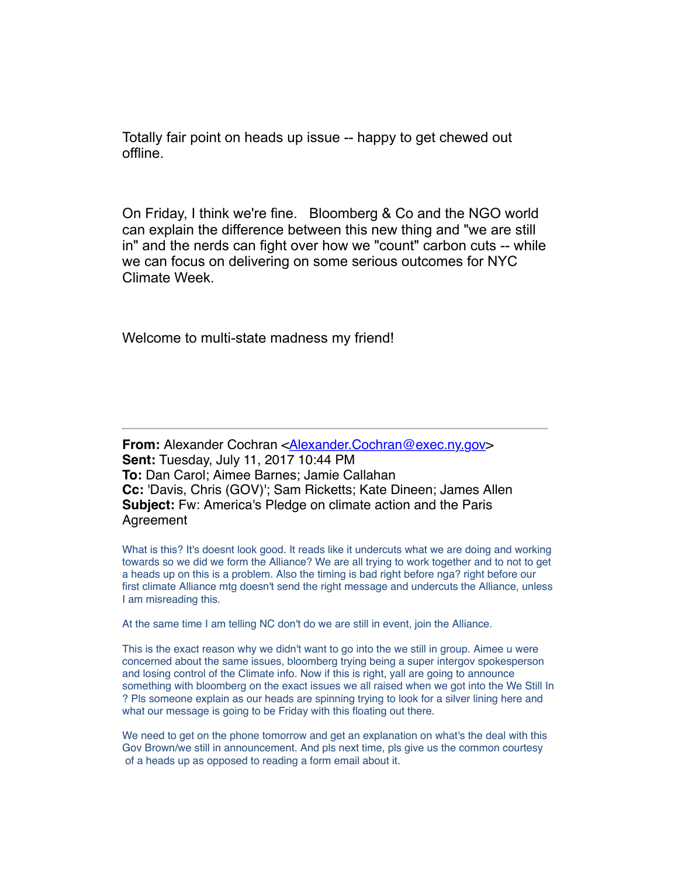Totally fair point on heads up issue -- happy to get chewed out offline.

On Friday, I think we're fine. Bloomberg & Co and the NGO world can explain the difference between this new thing and "we are still in" and the nerds can fight over how we "count" carbon cuts -- while we can focus on delivering on some serious outcomes for NYC Climate Week.

Welcome to multi-state madness my friend!

**From:** Alexander Cochran [<Alexander.Cochran@exec.ny.gov>](mailto:Alexander.Cochran@exec.ny.gov) **Sent:** Tuesday, July 11, 2017 10:44 PM **To:** Dan Carol; Aimee Barnes; Jamie Callahan **Cc:** 'Davis, Chris (GOV)'; Sam Ricketts; Kate Dineen; James Allen **Subject:** Fw: America's Pledge on climate action and the Paris Agreement

What is this? It's doesnt look good. It reads like it undercuts what we are doing and working towards so we did we form the Alliance? We are all trying to work together and to not to get a heads up on this is a problem. Also the timing is bad right before nga? right before our first climate Alliance mtg doesn't send the right message and undercuts the Alliance, unless I am misreading this.

At the same time I am telling NC don't do we are still in event, join the Alliance.

This is the exact reason why we didn't want to go into the we still in group. Aimee u were concerned about the same issues, bloomberg trying being a super intergov spokesperson and losing control of the Climate info. Now if this is right, yall are going to announce something with bloomberg on the exact issues we all raised when we got into the We Still In ? Pls someone explain as our heads are spinning trying to look for a silver lining here and what our message is going to be Friday with this floating out there.

We need to get on the phone tomorrow and get an explanation on what's the deal with this Gov Brown/we still in announcement. And pls next time, pls give us the common courtesy of a heads up as opposed to reading a form email about it.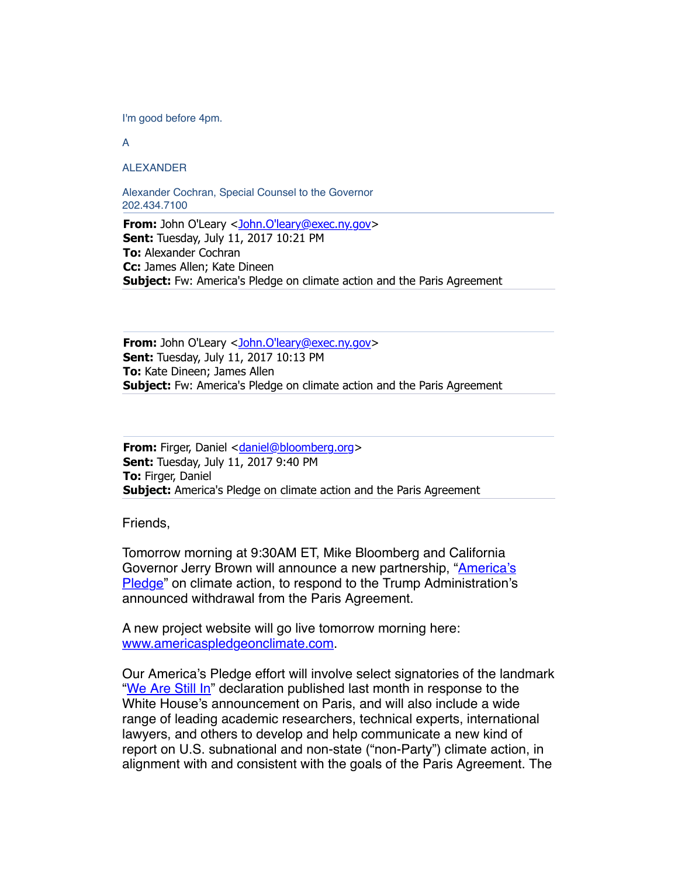I'm good before 4pm.

A

ALEXANDER

Alexander Cochran, Special Counsel to the Governor 202.434.7100

**From:** John O'Leary [<John.O'leary@exec.ny.gov](mailto:John.O)> **Sent:** Tuesday, July 11, 2017 10:21 PM **To:** Alexander Cochran **Cc:** James Allen; Kate Dineen **Subject:** Fw: America's Pledge on climate action and the Paris Agreement

**From:** John O'Leary < John.O'leary@exec.ny.gov> **Sent:** Tuesday, July 11, 2017 10:13 PM **To:** Kate Dineen; James Allen **Subject:** Fw: America's Pledge on climate action and the Paris Agreement

**From:** Firger, Daniel <[daniel@bloomberg.org>](mailto:daniel@bloomberg.org) **Sent:** Tuesday, July 11, 2017 9:40 PM **To:** Firger, Daniel **Subject:** America's Pledge on climate action and the Paris Agreement

Friends,

Tomorrow morning at 9:30AM ET, Mike Bloomberg and California [Governor Jerry Brown will announce a new partnership, "America's](http://www.americaspledgeonclimate.com/) Pledge" on climate action, to respond to the Trump Administration's announced withdrawal from the Paris Agreement.

A new project website will go live tomorrow morning here: [www.americaspledgeonclimate.com.](http://www.americaspledgeonclimate.com/)

Our America's Pledge effort will involve select signatories of the landmark ["We Are Still In](http://www.wearestillin.com/)" declaration published last month in response to the White House's announcement on Paris, and will also include a wide range of leading academic researchers, technical experts, international lawyers, and others to develop and help communicate a new kind of report on U.S. subnational and non-state ("non-Party") climate action, in alignment with and consistent with the goals of the Paris Agreement. The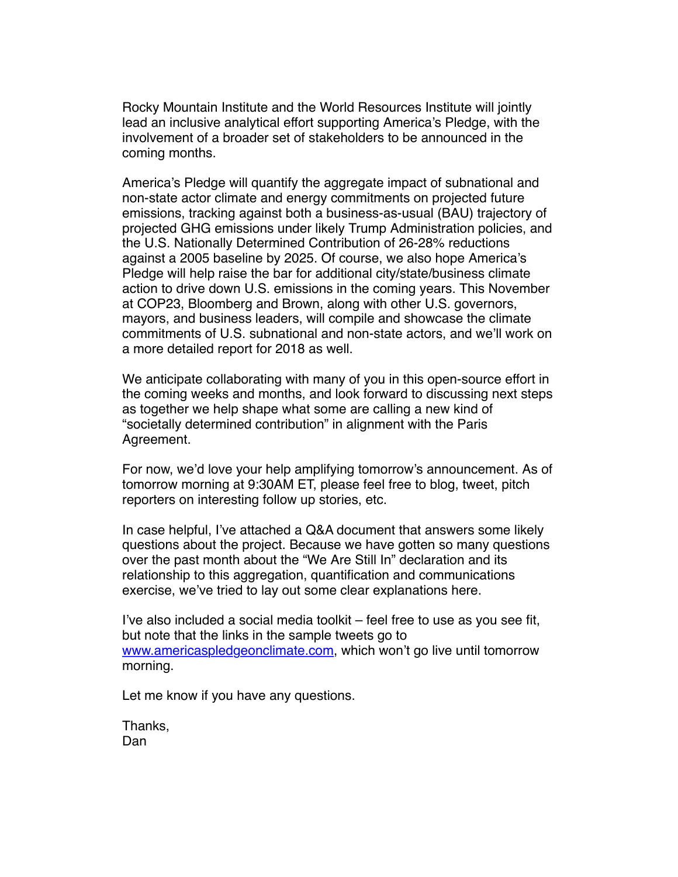Rocky Mountain Institute and the World Resources Institute will jointly lead an inclusive analytical effort supporting America's Pledge, with the involvement of a broader set of stakeholders to be announced in the coming months.

America's Pledge will quantify the aggregate impact of subnational and non-state actor climate and energy commitments on projected future emissions, tracking against both a business-as-usual (BAU) trajectory of projected GHG emissions under likely Trump Administration policies, and the U.S. Nationally Determined Contribution of 26-28% reductions against a 2005 baseline by 2025. Of course, we also hope America's Pledge will help raise the bar for additional city/state/business climate action to drive down U.S. emissions in the coming years. This November at COP23, Bloomberg and Brown, along with other U.S. governors, mayors, and business leaders, will compile and showcase the climate commitments of U.S. subnational and non-state actors, and we'll work on a more detailed report for 2018 as well.

We anticipate collaborating with many of you in this open-source effort in the coming weeks and months, and look forward to discussing next steps as together we help shape what some are calling a new kind of "societally determined contribution" in alignment with the Paris Agreement.

For now, we'd love your help amplifying tomorrow's announcement. As of tomorrow morning at 9:30AM ET, please feel free to blog, tweet, pitch reporters on interesting follow up stories, etc.

In case helpful, I've attached a Q&A document that answers some likely questions about the project. Because we have gotten so many questions over the past month about the "We Are Still In" declaration and its relationship to this aggregation, quantification and communications exercise, we've tried to lay out some clear explanations here.

I've also included a social media toolkit – feel free to use as you see fit, but note that the links in the sample tweets go to [www.americaspledgeonclimate.com,](http://www.americaspledgeonclimate.com/) which won't go live until tomorrow morning.

Let me know if you have any questions.

Thanks, Dan